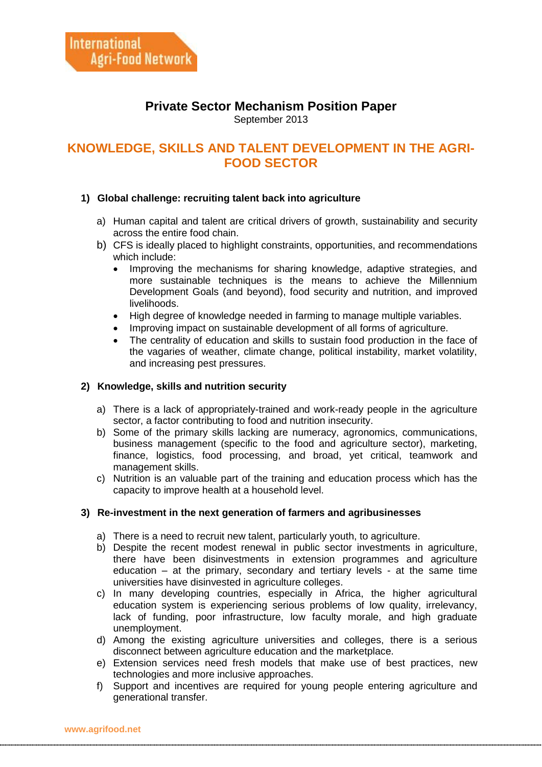# **Private Sector Mechanism Position Paper**

September 2013

## **KNOWLEDGE, SKILLS AND TALENT DEVELOPMENT IN THE AGRI-FOOD SECTOR**

## **1) Global challenge: recruiting talent back into agriculture**

- a) Human capital and talent are critical drivers of growth, sustainability and security across the entire food chain.
- b) CFS is ideally placed to highlight constraints, opportunities, and recommendations which include:
	- Improving the mechanisms for sharing knowledge, adaptive strategies, and more sustainable techniques is the means to achieve the Millennium Development Goals (and beyond), food security and nutrition, and improved livelihoods.
	- High degree of knowledge needed in farming to manage multiple variables.
	- Improving impact on sustainable development of all forms of agriculture.
	- The centrality of education and skills to sustain food production in the face of the vagaries of weather, climate change, political instability, market volatility, and increasing pest pressures.

### **2) Knowledge, skills and nutrition security**

- a) There is a lack of appropriately-trained and work-ready people in the agriculture sector, a factor contributing to food and nutrition insecurity.
- b) Some of the primary skills lacking are numeracy, agronomics, communications, business management (specific to the food and agriculture sector), marketing, finance, logistics, food processing, and broad, yet critical, teamwork and management skills.
- c) Nutrition is an valuable part of the training and education process which has the capacity to improve health at a household level.

#### **3) Re-investment in the next generation of farmers and agribusinesses**

- a) There is a need to recruit new talent, particularly youth, to agriculture.
- b) Despite the recent modest renewal in public sector investments in agriculture, there have been disinvestments in extension programmes and agriculture education – at the primary, secondary and tertiary levels - at the same time universities have disinvested in agriculture colleges.
- c) In many developing countries, especially in Africa, the higher agricultural education system is experiencing serious problems of low quality, irrelevancy, lack of funding, poor infrastructure, low faculty morale, and high graduate unemployment.
- d) Among the existing agriculture universities and colleges, there is a serious disconnect between agriculture education and the marketplace.
- e) Extension services need fresh models that make use of best practices, new technologies and more inclusive approaches.
- f) Support and incentives are required for young people entering agriculture and generational transfer.